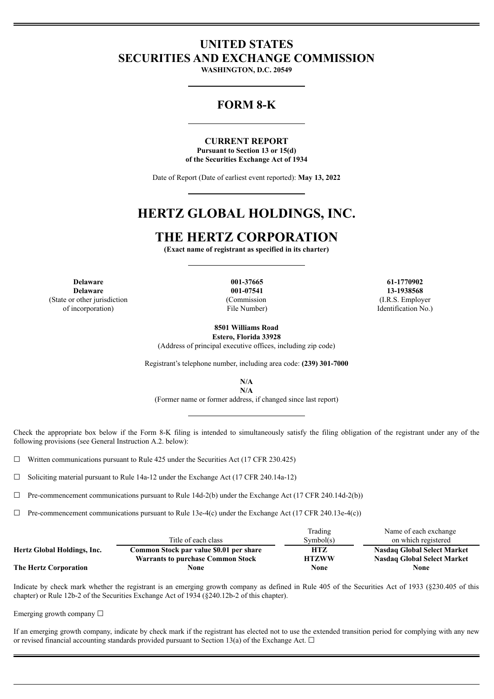# **UNITED STATES SECURITIES AND EXCHANGE COMMISSION**

**WASHINGTON, D.C. 20549**

# **FORM 8-K**

### **CURRENT REPORT Pursuant to Section 13 or 15(d) of the Securities Exchange Act of 1934**

Date of Report (Date of earliest event reported): **May 13, 2022**

# **HERTZ GLOBAL HOLDINGS, INC.**

# **THE HERTZ CORPORATION**

**(Exact name of registrant as specified in its charter)**

**Delaware 001-07541 13-1938568** (State or other jurisdiction of incorporation)

(Commission

File Number)

**Delaware 001-37665 61-1770902** (I.R.S. Employer Identification No.)

> **8501 Williams Road Estero, Florida 33928**

(Address of principal executive offices, including zip code)

Registrant's telephone number, including area code: **(239) 301-7000**

**N/A N/A**

(Former name or former address, if changed since last report)

Check the appropriate box below if the Form 8-K filing is intended to simultaneously satisfy the filing obligation of the registrant under any of the following provisions (see General Instruction A.2. below):

 $\Box$  Written communications pursuant to Rule 425 under the Securities Act (17 CFR 230.425)

 $\Box$  Soliciting material pursuant to Rule 14a-12 under the Exchange Act (17 CFR 240.14a-12)

 $\Box$  Pre-commencement communications pursuant to Rule 14d-2(b) under the Exchange Act (17 CFR 240.14d-2(b))

 $\Box$  Pre-commencement communications pursuant to Rule 13e-4(c) under the Exchange Act (17 CFR 240.13e-4(c))

|                             |                                          | Trading      | Name of each exchange              |
|-----------------------------|------------------------------------------|--------------|------------------------------------|
|                             | Title of each class                      | Symbol(s)    | on which registered                |
| Hertz Global Holdings, Inc. | Common Stock par value \$0.01 per share  | <b>HTZ</b>   | <b>Nasdaq Global Select Market</b> |
|                             | <b>Warrants to purchase Common Stock</b> | <b>HTZWW</b> | <b>Nasdaq Global Select Market</b> |
| The Hertz Corporation       | None                                     | None         | None                               |

Indicate by check mark whether the registrant is an emerging growth company as defined in Rule 405 of the Securities Act of 1933 (§230.405 of this chapter) or Rule 12b-2 of the Securities Exchange Act of 1934 (§240.12b-2 of this chapter).

Emerging growth company  $\Box$ 

If an emerging growth company, indicate by check mark if the registrant has elected not to use the extended transition period for complying with any new or revised financial accounting standards provided pursuant to Section 13(a) of the Exchange Act.  $\Box$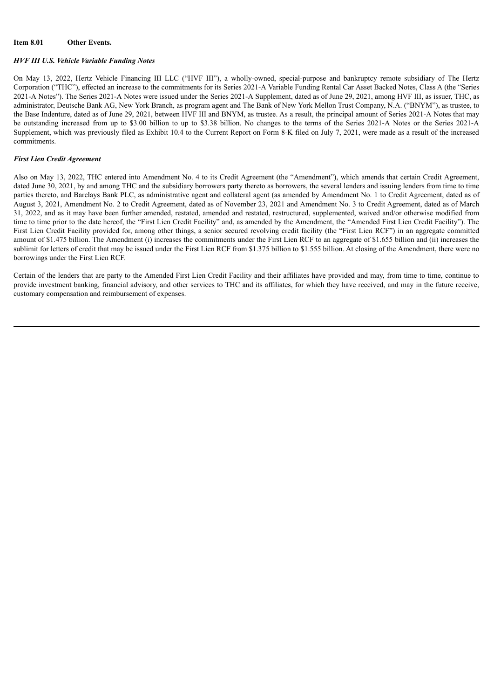#### **Item 8.01 Other Events.**

#### *HVF III U.S. Vehicle Variable Funding Notes*

On May 13, 2022, Hertz Vehicle Financing III LLC ("HVF III"), a wholly-owned, special-purpose and bankruptcy remote subsidiary of The Hertz Corporation ("THC"), effected an increase to the commitments for its Series 2021-A Variable Funding Rental Car Asset Backed Notes, Class A (the "Series 2021-A Notes"). The Series 2021-A Notes were issued under the Series 2021-A Supplement, dated as of June 29, 2021, among HVF III, as issuer, THC, as administrator, Deutsche Bank AG, New York Branch, as program agent and The Bank of New York Mellon Trust Company, N.A. ("BNYM"), as trustee, to the Base Indenture, dated as of June 29, 2021, between HVF III and BNYM, as trustee. As a result, the principal amount of Series 2021-A Notes that may be outstanding increased from up to \$3.00 billion to up to \$3.38 billion. No changes to the terms of the Series 2021-A Notes or the Series 2021-A Supplement, which was previously filed as Exhibit 10.4 to the Current Report on Form 8-K filed on July 7, 2021, were made as a result of the increased commitments.

#### *First Lien Credit Agreement*

Also on May 13, 2022, THC entered into Amendment No. 4 to its Credit Agreement (the "Amendment"), which amends that certain Credit Agreement, dated June 30, 2021, by and among THC and the subsidiary borrowers party thereto as borrowers, the several lenders and issuing lenders from time to time parties thereto, and Barclays Bank PLC, as administrative agent and collateral agent (as amended by Amendment No. 1 to Credit Agreement, dated as of August 3, 2021, Amendment No. 2 to Credit Agreement, dated as of November 23, 2021 and Amendment No. 3 to Credit Agreement, dated as of March 31, 2022, and as it may have been further amended, restated, amended and restated, restructured, supplemented, waived and/or otherwise modified from time to time prior to the date hereof, the "First Lien Credit Facility" and, as amended by the Amendment, the "Amended First Lien Credit Facility"). The First Lien Credit Facility provided for, among other things, a senior secured revolving credit facility (the "First Lien RCF") in an aggregate committed amount of \$1.475 billion. The Amendment (i) increases the commitments under the First Lien RCF to an aggregate of \$1.655 billion and (ii) increases the sublimit for letters of credit that may be issued under the First Lien RCF from \$1.375 billion to \$1.555 billion. At closing of the Amendment, there were no borrowings under the First Lien RCF.

Certain of the lenders that are party to the Amended First Lien Credit Facility and their affiliates have provided and may, from time to time, continue to provide investment banking, financial advisory, and other services to THC and its affiliates, for which they have received, and may in the future receive, customary compensation and reimbursement of expenses.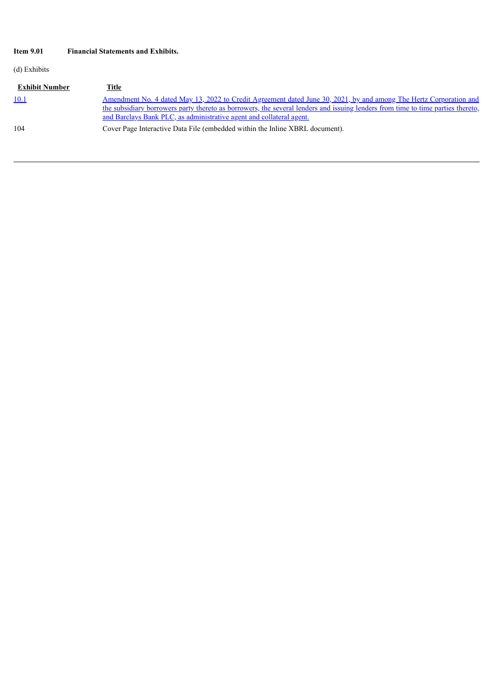## **Item 9.01 Financial Statements and Exhibits.**

(d) Exhibits

| <b>Exhibit Number</b> | Title                                                                                                                                                                                                                                                                                                                         |
|-----------------------|-------------------------------------------------------------------------------------------------------------------------------------------------------------------------------------------------------------------------------------------------------------------------------------------------------------------------------|
| <u>10.1</u>           | Amendment No. 4 dated May 13, 2022 to Credit Agreement dated June 30, 2021, by and among The Hertz Corporation and<br>the subsidiary borrowers party thereto as borrowers, the several lenders and issuing lenders from time to time parties thereto,<br>and Barclays Bank PLC, as administrative agent and collateral agent. |
| 104                   | Cover Page Interactive Data File (embedded within the Inline XBRL document).                                                                                                                                                                                                                                                  |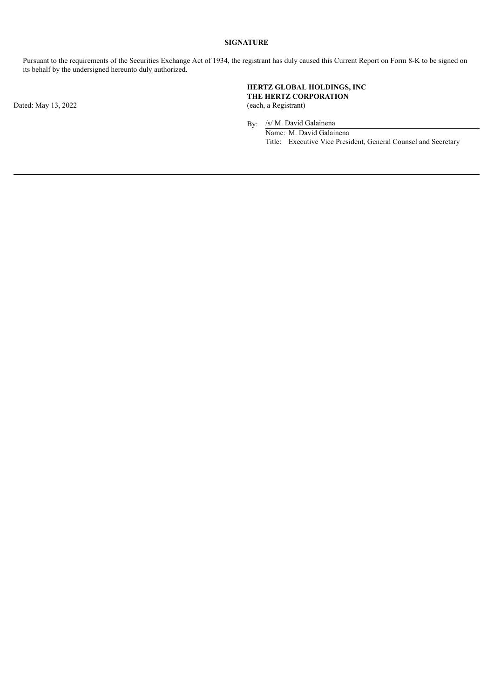## **SIGNATURE**

Pursuant to the requirements of the Securities Exchange Act of 1934, the registrant has duly caused this Current Report on Form 8-K to be signed on its behalf by the undersigned hereunto duly authorized.

Dated: May 13, 2022

## **HERTZ GLOBAL HOLDINGS, INC THE HERTZ CORPORATION** (each, a Registrant)

By: /s/ M. David Galainena

Name: M. David Galainena Title: Executive Vice President, General Counsel and Secretary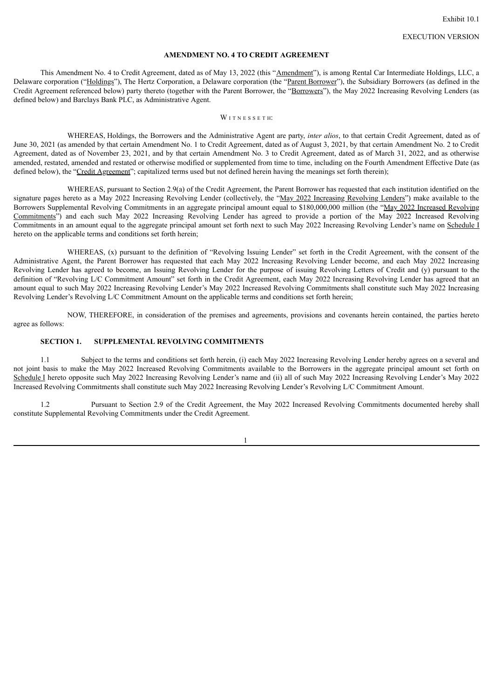#### **AMENDMENT NO. 4 TO CREDIT AGREEMENT**

<span id="page-4-0"></span>This Amendment No. 4 to Credit Agreement, dated as of May 13, 2022 (this "Amendment"), is among Rental Car Intermediate Holdings, LLC, a Delaware corporation ("Holdings"), The Hertz Corporation, a Delaware corporation (the "Parent Borrower"), the Subsidiary Borrowers (as defined in the Credit Agreement referenced below) party thereto (together with the Parent Borrower, the "Borrowers"), the May 2022 Increasing Revolving Lenders (as defined below) and Barclays Bank PLC, as Administrative Agent.

#### WITNESSETH:

WHEREAS, Holdings, the Borrowers and the Administrative Agent are party, *inter alios*, to that certain Credit Agreement, dated as of June 30, 2021 (as amended by that certain Amendment No. 1 to Credit Agreement, dated as of August 3, 2021, by that certain Amendment No. 2 to Credit Agreement, dated as of November 23, 2021, and by that certain Amendment No. 3 to Credit Agreement, dated as of March 31, 2022, and as otherwise amended, restated, amended and restated or otherwise modified or supplemented from time to time, including on the Fourth Amendment Effective Date (as defined below), the "Credit Agreement"; capitalized terms used but not defined herein having the meanings set forth therein);

WHEREAS, pursuant to Section 2.9(a) of the Credit Agreement, the Parent Borrower has requested that each institution identified on the signature pages hereto as a May 2022 Increasing Revolving Lender (collectively, the "May 2022 Increasing Revolving Lenders") make available to the Borrowers Supplemental Revolving Commitments in an aggregate principal amount equal to \$180,000,000 million (the "May 2022 Increased Revolving Commitments") and each such May 2022 Increasing Revolving Lender has agreed to provide a portion of the May 2022 Increased Revolving Commitments in an amount equal to the aggregate principal amount set forth next to such May 2022 Increasing Revolving Lender's name on Schedule I hereto on the applicable terms and conditions set forth herein;

WHEREAS, (x) pursuant to the definition of "Revolving Issuing Lender" set forth in the Credit Agreement, with the consent of the Administrative Agent, the Parent Borrower has requested that each May 2022 Increasing Revolving Lender become, and each May 2022 Increasing Revolving Lender has agreed to become, an Issuing Revolving Lender for the purpose of issuing Revolving Letters of Credit and (y) pursuant to the definition of "Revolving L/C Commitment Amount" set forth in the Credit Agreement, each May 2022 Increasing Revolving Lender has agreed that an amount equal to such May 2022 Increasing Revolving Lender's May 2022 Increased Revolving Commitments shall constitute such May 2022 Increasing Revolving Lender's Revolving L/C Commitment Amount on the applicable terms and conditions set forth herein;

NOW, THEREFORE, in consideration of the premises and agreements, provisions and covenants herein contained, the parties hereto agree as follows:

## **SECTION 1. SUPPLEMENTAL REVOLVING COMMITMENTS**

1.1 Subject to the terms and conditions set forth herein, (i) each May 2022 Increasing Revolving Lender hereby agrees on a several and not joint basis to make the May 2022 Increased Revolving Commitments available to the Borrowers in the aggregate principal amount set forth on Schedule I hereto opposite such May 2022 Increasing Revolving Lender's name and (ii) all of such May 2022 Increasing Revolving Lender's May 2022 Increased Revolving Commitments shall constitute such May 2022 Increasing Revolving Lender's Revolving L/C Commitment Amount.

1.2 Pursuant to Section 2.9 of the Credit Agreement, the May 2022 Increased Revolving Commitments documented hereby shall constitute Supplemental Revolving Commitments under the Credit Agreement.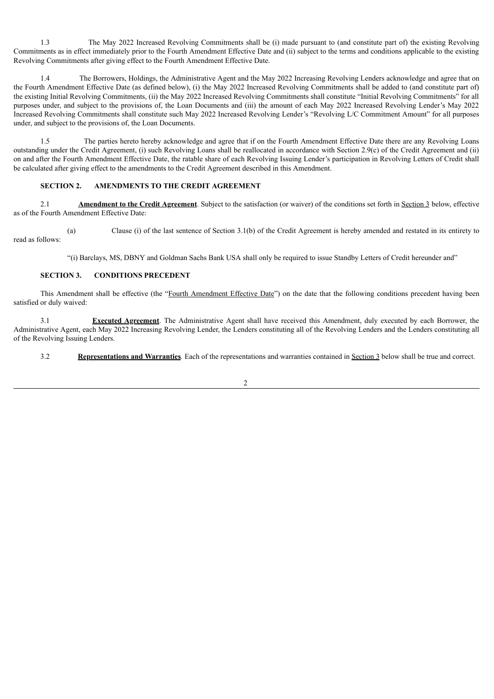1.3 The May 2022 Increased Revolving Commitments shall be (i) made pursuant to (and constitute part of) the existing Revolving Commitments as in effect immediately prior to the Fourth Amendment Effective Date and (ii) subject to the terms and conditions applicable to the existing Revolving Commitments after giving effect to the Fourth Amendment Effective Date.

1.4 The Borrowers, Holdings, the Administrative Agent and the May 2022 Increasing Revolving Lenders acknowledge and agree that on the Fourth Amendment Effective Date (as defined below), (i) the May 2022 Increased Revolving Commitments shall be added to (and constitute part of) the existing Initial Revolving Commitments, (ii) the May 2022 Increased Revolving Commitments shall constitute "Initial Revolving Commitments" for all purposes under, and subject to the provisions of, the Loan Documents and (iii) the amount of each May 2022 Increased Revolving Lender's May 2022 Increased Revolving Commitments shall constitute such May 2022 Increased Revolving Lender's "Revolving L/C Commitment Amount" for all purposes under, and subject to the provisions of, the Loan Documents.

1.5 The parties hereto hereby acknowledge and agree that if on the Fourth Amendment Effective Date there are any Revolving Loans outstanding under the Credit Agreement, (i) such Revolving Loans shall be reallocated in accordance with Section 2.9(c) of the Credit Agreement and (ii) on and after the Fourth Amendment Effective Date, the ratable share of each Revolving Issuing Lender's participation in Revolving Letters of Credit shall be calculated after giving effect to the amendments to the Credit Agreement described in this Amendment.

## **SECTION 2. AMENDMENTS TO THE CREDIT AGREEMENT**

2.1 **Amendment to the Credit Agreement**. Subject to the satisfaction (or waiver) of the conditions set forth in Section 3 below, effective as of the Fourth Amendment Effective Date:

(a) Clause (i) of the last sentence of Section 3.1(b) of the Credit Agreement is hereby amended and restated in its entirety to read as follows:

"(i) Barclays, MS, DBNY and Goldman Sachs Bank USA shall only be required to issue Standby Letters of Credit hereunder and"

### **SECTION 3. CONDITIONS PRECEDENT**

This Amendment shall be effective (the "Fourth Amendment Effective Date") on the date that the following conditions precedent having been satisfied or duly waived:

3.1 **Executed Agreement**. The Administrative Agent shall have received this Amendment, duly executed by each Borrower, the Administrative Agent, each May 2022 Increasing Revolving Lender, the Lenders constituting all of the Revolving Lenders and the Lenders constituting all of the Revolving Issuing Lenders.

3.2 **Representations and Warranties***.* Each of the representations and warranties contained in Section 3 below shall be true and correct.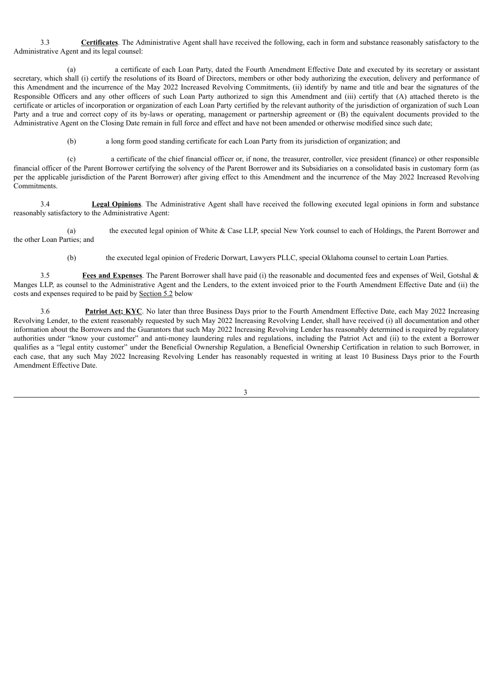3.3 **Certificates**. The Administrative Agent shall have received the following, each in form and substance reasonably satisfactory to the Administrative Agent and its legal counsel:

(a) a certificate of each Loan Party, dated the Fourth Amendment Effective Date and executed by its secretary or assistant secretary, which shall (i) certify the resolutions of its Board of Directors, members or other body authorizing the execution, delivery and performance of this Amendment and the incurrence of the May 2022 Increased Revolving Commitments, (ii) identify by name and title and bear the signatures of the Responsible Officers and any other officers of such Loan Party authorized to sign this Amendment and (iii) certify that (A) attached thereto is the certificate or articles of incorporation or organization of each Loan Party certified by the relevant authority of the jurisdiction of organization of such Loan Party and a true and correct copy of its by-laws or operating, management or partnership agreement or (B) the equivalent documents provided to the Administrative Agent on the Closing Date remain in full force and effect and have not been amended or otherwise modified since such date;

(b) a long form good standing certificate for each Loan Party from its jurisdiction of organization; and

(c) a certificate of the chief financial officer or, if none, the treasurer, controller, vice president (finance) or other responsible financial officer of the Parent Borrower certifying the solvency of the Parent Borrower and its Subsidiaries on a consolidated basis in customary form (as per the applicable jurisdiction of the Parent Borrower) after giving effect to this Amendment and the incurrence of the May 2022 Increased Revolving Commitments.

3.4 **Legal Opinions**. The Administrative Agent shall have received the following executed legal opinions in form and substance reasonably satisfactory to the Administrative Agent:

(a) the executed legal opinion of White & Case LLP, special New York counsel to each of Holdings, the Parent Borrower and the other Loan Parties; and

(b) the executed legal opinion of Frederic Dorwart, Lawyers PLLC, special Oklahoma counsel to certain Loan Parties.

3.5 **Fees and Expenses**. The Parent Borrower shall have paid (i) the reasonable and documented fees and expenses of Weil, Gotshal & Manges LLP, as counsel to the Administrative Agent and the Lenders, to the extent invoiced prior to the Fourth Amendment Effective Date and (ii) the costs and expenses required to be paid by Section 5.2 below

Patriot Act; KYC. No later than three Business Days prior to the Fourth Amendment Effective Date, each May 2022 Increasing Revolving Lender, to the extent reasonably requested by such May 2022 Increasing Revolving Lender, shall have received (i) all documentation and other information about the Borrowers and the Guarantors that such May 2022 Increasing Revolving Lender has reasonably determined is required by regulatory authorities under "know your customer" and anti-money laundering rules and regulations, including the Patriot Act and (ii) to the extent a Borrower qualifies as a "legal entity customer" under the Beneficial Ownership Regulation, a Beneficial Ownership Certification in relation to such Borrower, in each case, that any such May 2022 Increasing Revolving Lender has reasonably requested in writing at least 10 Business Days prior to the Fourth Amendment Effective Date.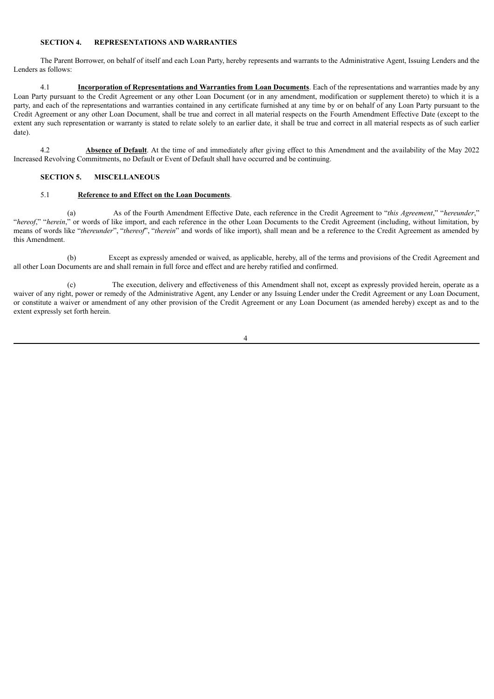### **SECTION 4. REPRESENTATIONS AND WARRANTIES**

The Parent Borrower, on behalf of itself and each Loan Party, hereby represents and warrants to the Administrative Agent, Issuing Lenders and the Lenders as follows:

4.1 **Incorporation of Representations and Warranties from Loan Documents**. Each of the representations and warranties made by any Loan Party pursuant to the Credit Agreement or any other Loan Document (or in any amendment, modification or supplement thereto) to which it is a party, and each of the representations and warranties contained in any certificate furnished at any time by or on behalf of any Loan Party pursuant to the Credit Agreement or any other Loan Document, shall be true and correct in all material respects on the Fourth Amendment Effective Date (except to the extent any such representation or warranty is stated to relate solely to an earlier date, it shall be true and correct in all material respects as of such earlier date).

4.2 **Absence of Default**. At the time of and immediately after giving effect to this Amendment and the availability of the May 2022 Increased Revolving Commitments, no Default or Event of Default shall have occurred and be continuing.

## **SECTION 5. MISCELLANEOUS**

#### 5.1 **Reference to and Effect on the Loan Documents**.

(a) As of the Fourth Amendment Effective Date, each reference in the Credit Agreement to "*this Agreement*," "*hereunder*," "*hereof*," "*herein*," or words of like import, and each reference in the other Loan Documents to the Credit Agreement (including, without limitation, by means of words like "*thereunder*", "*thereof*", "*therein*" and words of like import), shall mean and be a reference to the Credit Agreement as amended by this Amendment.

(b) Except as expressly amended or waived, as applicable, hereby, all of the terms and provisions of the Credit Agreement and all other Loan Documents are and shall remain in full force and effect and are hereby ratified and confirmed.

(c) The execution, delivery and effectiveness of this Amendment shall not, except as expressly provided herein, operate as a waiver of any right, power or remedy of the Administrative Agent, any Lender or any Issuing Lender under the Credit Agreement or any Loan Document, or constitute a waiver or amendment of any other provision of the Credit Agreement or any Loan Document (as amended hereby) except as and to the extent expressly set forth herein.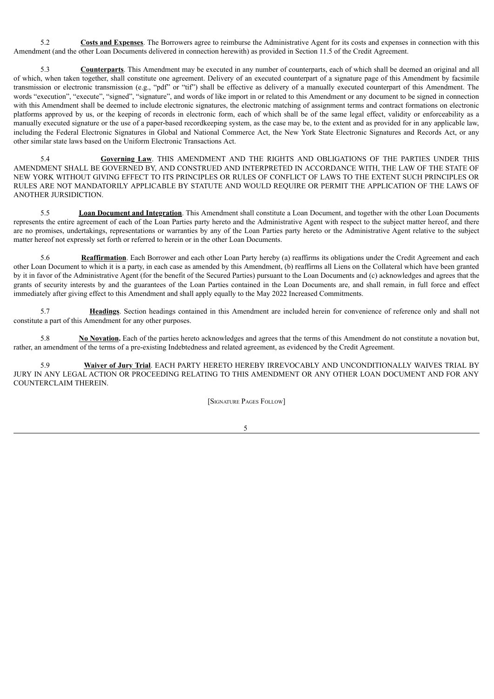5.2 **Costs and Expenses**. The Borrowers agree to reimburse the Administrative Agent for its costs and expenses in connection with this Amendment (and the other Loan Documents delivered in connection herewith) as provided in Section 11.5 of the Credit Agreement.

5.3 **Counterparts**. This Amendment may be executed in any number of counterparts, each of which shall be deemed an original and all of which, when taken together, shall constitute one agreement. Delivery of an executed counterpart of a signature page of this Amendment by facsimile transmission or electronic transmission (e.g., "pdf" or "tif") shall be effective as delivery of a manually executed counterpart of this Amendment. The words "execution", "execute", "signed", "signature", and words of like import in or related to this Amendment or any document to be signed in connection with this Amendment shall be deemed to include electronic signatures, the electronic matching of assignment terms and contract formations on electronic platforms approved by us, or the keeping of records in electronic form, each of which shall be of the same legal effect, validity or enforceability as a manually executed signature or the use of a paper-based recordkeeping system, as the case may be, to the extent and as provided for in any applicable law, including the Federal Electronic Signatures in Global and National Commerce Act, the New York State Electronic Signatures and Records Act, or any other similar state laws based on the Uniform Electronic Transactions Act.

5.4 **Governing Law**. THIS AMENDMENT AND THE RIGHTS AND OBLIGATIONS OF THE PARTIES UNDER THIS AMENDMENT SHALL BE GOVERNED BY, AND CONSTRUED AND INTERPRETED IN ACCORDANCE WITH, THE LAW OF THE STATE OF NEW YORK WITHOUT GIVING EFFECT TO ITS PRINCIPLES OR RULES OF CONFLICT OF LAWS TO THE EXTENT SUCH PRINCIPLES OR RULES ARE NOT MANDATORILY APPLICABLE BY STATUTE AND WOULD REQUIRE OR PERMIT THE APPLICATION OF THE LAWS OF ANOTHER JURSIDICTION.

5.5 **Loan Document and Integration**. This Amendment shall constitute a Loan Document, and together with the other Loan Documents represents the entire agreement of each of the Loan Parties party hereto and the Administrative Agent with respect to the subject matter hereof, and there are no promises, undertakings, representations or warranties by any of the Loan Parties party hereto or the Administrative Agent relative to the subject matter hereof not expressly set forth or referred to herein or in the other Loan Documents.

5.6 **Reaffirmation**. Each Borrower and each other Loan Party hereby (a) reaffirms its obligations under the Credit Agreement and each other Loan Document to which it is a party, in each case as amended by this Amendment, (b) reaffirms all Liens on the Collateral which have been granted by it in favor of the Administrative Agent (for the benefit of the Secured Parties) pursuant to the Loan Documents and (c) acknowledges and agrees that the grants of security interests by and the guarantees of the Loan Parties contained in the Loan Documents are, and shall remain, in full force and effect immediately after giving effect to this Amendment and shall apply equally to the May 2022 Increased Commitments.

5.7 **Headings**. Section headings contained in this Amendment are included herein for convenience of reference only and shall not constitute a part of this Amendment for any other purposes.

5.8 **No Novation.** Each of the parties hereto acknowledges and agrees that the terms of this Amendment do not constitute a novation but, rather, an amendment of the terms of a pre-existing Indebtedness and related agreement, as evidenced by the Credit Agreement.

5.9 **Waiver of Jury Trial**. EACH PARTY HERETO HEREBY IRREVOCABLY AND UNCONDITIONALLY WAIVES TRIAL BY JURY IN ANY LEGAL ACTION OR PROCEEDING RELATING TO THIS AMENDMENT OR ANY OTHER LOAN DOCUMENT AND FOR ANY COUNTERCLAIM THEREIN.

[Signature Pages Follow]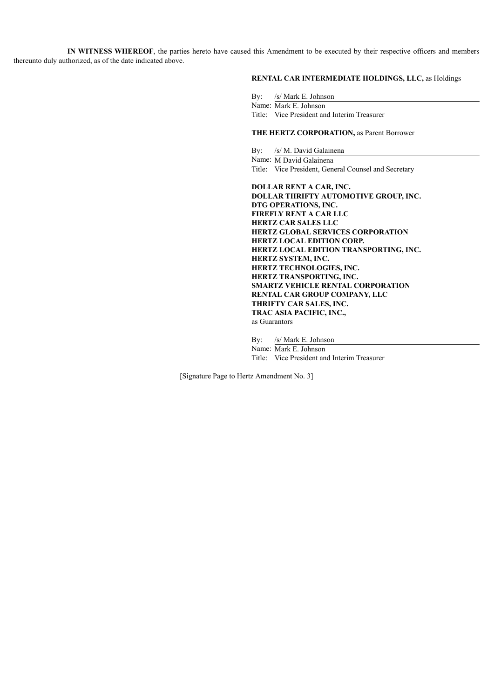**IN WITNESS WHEREOF**, the parties hereto have caused this Amendment to be executed by their respective officers and members thereunto duly authorized, as of the date indicated above.

## **RENTAL CAR INTERMEDIATE HOLDINGS, LLC,** as Holdings

By: /s/ Mark E. Johnson

Name: Mark E. Johnson

Title: Vice President and Interim Treasurer

#### **THE HERTZ CORPORATION,** as Parent Borrower

By: /s/ M. David Galainena

Name: M David Galainena Title: Vice President, General Counsel and Secretary

**DOLLAR RENT A CAR, INC. DOLLAR THRIFTY AUTOMOTIVE GROUP, INC. DTG OPERATIONS, INC. FIREFLY RENT A CAR LLC HERTZ CAR SALES LLC HERTZ GLOBAL SERVICES CORPORATION HERTZ LOCAL EDITION CORP. HERTZ LOCAL EDITION TRANSPORTING, INC. HERTZ SYSTEM, INC. HERTZ TECHNOLOGIES, INC. HERTZ TRANSPORTING, INC. SMARTZ VEHICLE RENTAL CORPORATION RENTAL CAR GROUP COMPANY, LLC THRIFTY CAR SALES, INC. TRAC ASIA PACIFIC, INC.,** as Guarantors

By: /s/ Mark E. Johnson Name: Mark E. Johnson Title: Vice President and Interim Treasurer

[Signature Page to Hertz Amendment No. 3]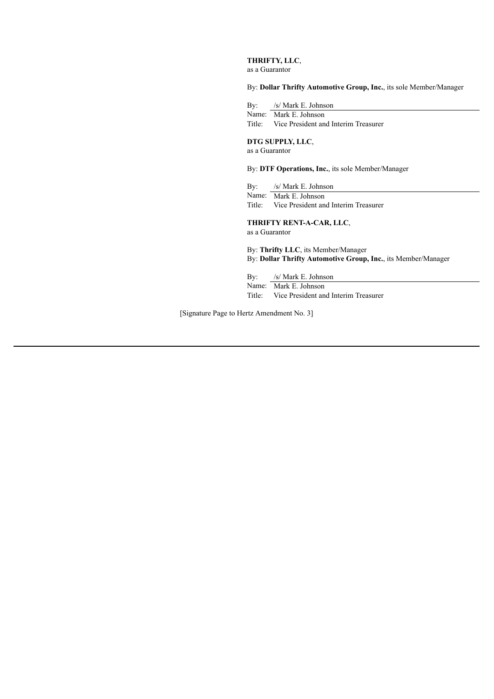## **THRIFTY, LLC**,

as a Guarantor

By: **Dollar Thrifty Automotive Group, Inc.**, its sole Member/Manager

By: /s/ Mark E. Johnson Name: Mark E. Johnson Title: Vice President and Interim Treasurer

**DTG SUPPLY, LLC**,

as a Guarantor

By: **DTF Operations, Inc.**, its sole Member/Manager

By: /s/ Mark E. Johnson Name: Mark E. Johnson<br>Title: Vice President an Vice President and Interim Treasurer

**THRIFTY RENT-A-CAR, LLC**, as a Guarantor

By: **Thrifty LLC**, its Member/Manager By: **Dollar Thrifty Automotive Group, Inc.**, its Member/Manager

By: /s/ Mark E. Johnson Name: Mark E. Johnson Title: Vice President and Interim Treasurer

[Signature Page to Hertz Amendment No. 3]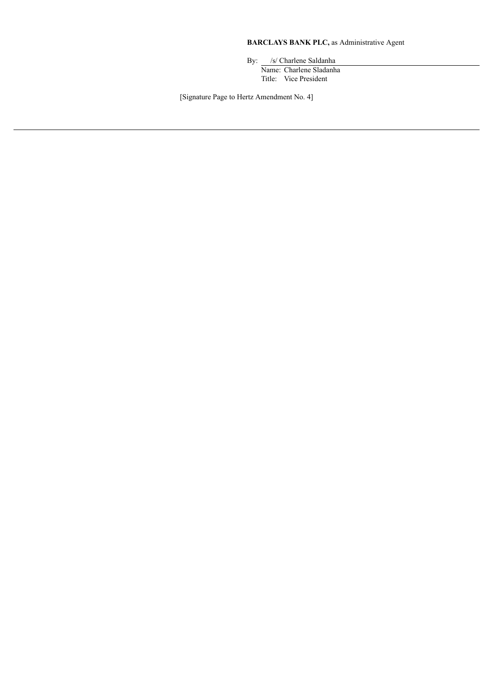# **BARCLAYS BANK PLC,** as Administrative Agent

By: /s/ Charlene Saldanha Name: Charlene Sladanha Title: Vice President

[Signature Page to Hertz Amendment No. 4]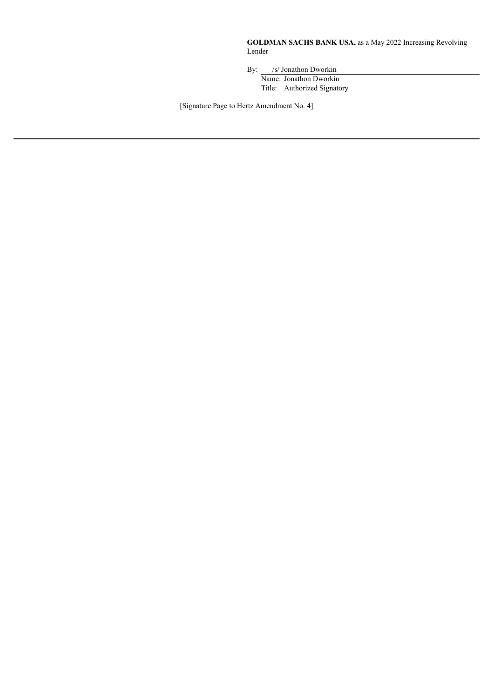**GOLDMAN SACHS BANK USA,** as a May 2022 Increasing Revolving Lender

By: /s/ Jonathon Dworkin

Name: Jonathon Dworkin Title: Authorized Signatory

[Signature Page to Hertz Amendment No. 4]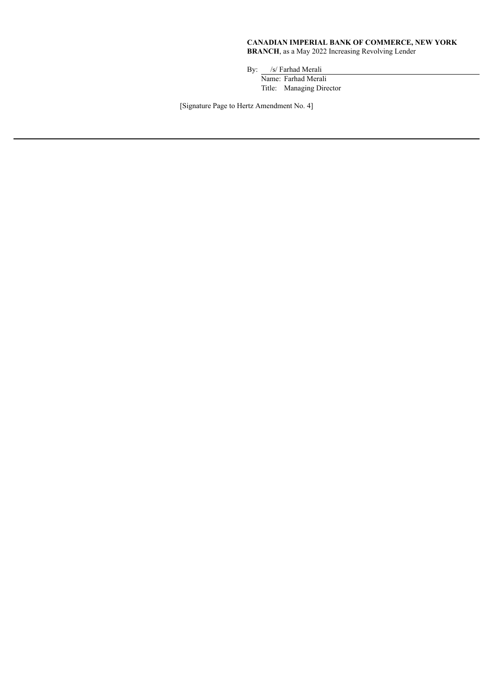## **CANADIAN IMPERIAL BANK OF COMMERCE, NEW YORK**

**BRANCH**, as a May 2022 Increasing Revolving Lender

By: /s/ Farhad Merali

Name: Farhad Merali Title: Managing Director

[Signature Page to Hertz Amendment No. 4]